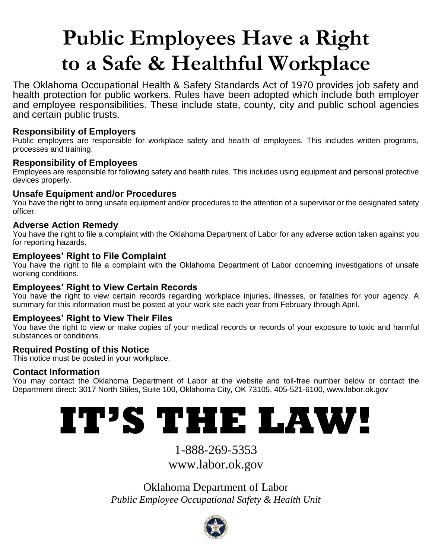# **Public Employees Have a Right to a Safe & Healthful Workplace**

The Oklahoma Occupational Health & Safety Standards Act of 1970 provides job safety and health protection for public workers. Rules have been adopted which include both employer and employee responsibilities. These include state, county, city and public school agencies and certain public trusts.

# **Responsibility of Employers**

Public employers are responsible for workplace safety and health of employees. This includes written programs, processes and training.

# **Responsibility of Employees**

Employees are responsible for following safety and health rules. This includes using equipment and personal protective devices properly.

# **Unsafe Equipment and/or Procedures**

You have the right to bring unsafe equipment and/or procedures to the attention of a supervisor or the designated safety officer.

# **Adverse Action Remedy**

You have the right to file a complaint with the Oklahoma Department of Labor for any adverse action taken against you for reporting hazards.

# **Employees' Right to File Complaint**

You have the right to file a complaint with the Oklahoma Department of Labor concerning investigations of unsafe working conditions.

# **Employees' Right to View Certain Records**

You have the right to view certain records regarding workplace injuries, illnesses, or fatalities for your agency. A summary for this information must be posted at your work site each year from February through April.

# **Employees' Right to View Their Files**

You have the right to view or make copies of your medical records or records of your exposure to toxic and harmful substances or conditions.

# **Required Posting of this Notice**

This notice must be posted in your workplace.

# **Contact Information**

You may contact the Oklahoma Department of Labor at the website and toll-free number below or contact the Department direct: 3017 North Stiles, Suite 100, Oklahoma City, OK 73105, 405-521-6100, www.labor.ok.gov

# **IT'S THE LAW!**

1-888-269-5353

www.labor.ok.gov

Oklahoma Department of Labor *Public Employee Occupational Safety & Health Unit*